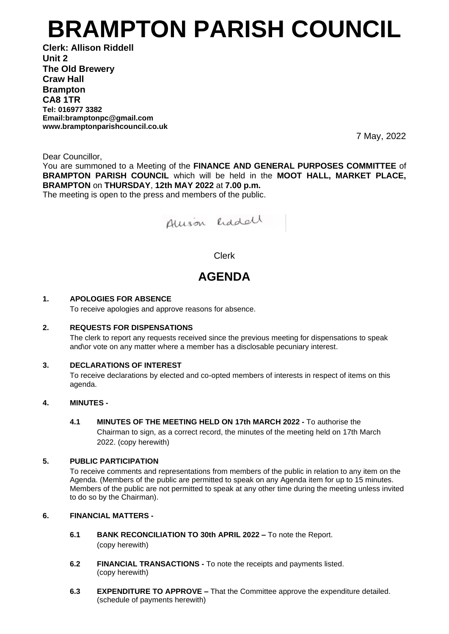# **BRAMPTON PARISH COUNCIL**

**Clerk: Allison Riddell Unit 2 The Old Brewery Craw Hall Brampton CA8 1TR Tel: 016977 3382 Email:bramptonpc@gmail.com www.bramptonparishcouncil.co.uk**

7 May, 2022

Dear Councillor,

You are summoned to a Meeting of the **FINANCE AND GENERAL PURPOSES COMMITTEE** of **BRAMPTON PARISH COUNCIL** which will be held in the **MOOT HALL, MARKET PLACE, BRAMPTON** on **THURSDAY**, **12th MAY 2022** at **7.00 p.m.**

The meeting is open to the press and members of the public.



### Clerk

## **AGENDA**

#### **1. APOLOGIES FOR ABSENCE**

To receive apologies and approve reasons for absence.

#### **2. REQUESTS FOR DISPENSATIONS**

The clerk to report any requests received since the previous meeting for dispensations to speak and\or vote on any matter where a member has a disclosable pecuniary interest.

#### **3. DECLARATIONS OF INTEREST**

To receive declarations by elected and co-opted members of interests in respect of items on this agenda.

#### **4. MINUTES -**

**4.1 MINUTES OF THE MEETING HELD ON 17th MARCH 2022 -** To authorise the Chairman to sign, as a correct record, the minutes of the meeting held on 17th March 2022. (copy herewith)

#### **5. PUBLIC PARTICIPATION**

To receive comments and representations from members of the public in relation to any item on the Agenda. (Members of the public are permitted to speak on any Agenda item for up to 15 minutes. Members of the public are not permitted to speak at any other time during the meeting unless invited to do so by the Chairman).

#### **6. FINANCIAL MATTERS -**

- **6.1 BANK RECONCILIATION TO 30th APRIL 2022 –** To note the Report. (copy herewith)
- **6.2 FINANCIAL TRANSACTIONS -** To note the receipts and payments listed. (copy herewith)
- **6.3 EXPENDITURE TO APPROVE –** That the Committee approve the expenditure detailed. (schedule of payments herewith)